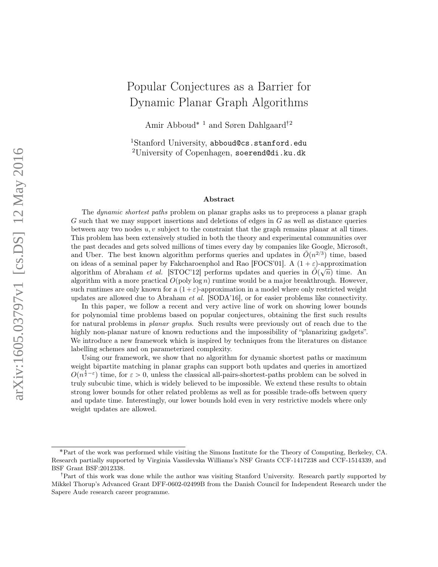# Popular Conjectures as a Barrier for Dynamic Planar Graph Algorithms

Amir Abboud<br/>\* $^{\rm 1}$  and Søren Dahlgaard $^{\dagger2}$ 

<sup>1</sup>Stanford University, abboud@cs.stanford.edu <sup>2</sup>University of Copenhagen, soerend@di.ku.dk

#### Abstract

The dynamic shortest paths problem on planar graphs asks us to preprocess a planar graph  $G$  such that we may support insertions and deletions of edges in  $G$  as well as distance queries between any two nodes  $u, v$  subject to the constraint that the graph remains planar at all times. This problem has been extensively studied in both the theory and experimental communities over the past decades and gets solved millions of times every day by companies like Google, Microsoft, and Uber. The best known algorithm performs queries and updates in  $\tilde{O}(n^{2/3})$  time, based on ideas of a seminal paper by Fakcharoenphol and Rao [FOCS'01]. A  $(1 + \varepsilon)$ -approximation algorithm of Abraham *et al.* [STOC'12] performs updates and queries in  $\tilde{O}(\sqrt{n})$  time. An algorithm of Abraham *et al.* [STOC'12] performs updates and queries in  $\tilde{O}(\sqrt{n})$  time. algorithm with a more practical  $O(poly \log n)$  runtime would be a major breakthrough. However, such runtimes are only known for a  $(1+\varepsilon)$ -approximation in a model where only restricted weight updates are allowed due to Abraham *et al.* [SODA'16], or for easier problems like connectivity.

In this paper, we follow a recent and very active line of work on showing lower bounds for polynomial time problems based on popular conjectures, obtaining the first such results for natural problems in planar graphs. Such results were previously out of reach due to the highly non-planar nature of known reductions and the impossibility of "planarizing gadgets". We introduce a new framework which is inspired by techniques from the literatures on distance labelling schemes and on parameterized complexity.

Using our framework, we show that no algorithm for dynamic shortest paths or maximum weight bipartite matching in planar graphs can support both updates and queries in amortized  $O(n^{\frac{1}{2}-\varepsilon})$  time, for  $\varepsilon > 0$ , unless the classical all-pairs-shortest-paths problem can be solved in truly subcubic time, which is widely believed to be impossible. We extend these results to obtain strong lower bounds for other related problems as well as for possible trade-offs between query and update time. Interestingly, our lower bounds hold even in very restrictive models where only weight updates are allowed.

<sup>˚</sup>Part of the work was performed while visiting the Simons Institute for the Theory of Computing, Berkeley, CA. Research partially supported by Virginia Vassilevska Williams's NSF Grants CCF-1417238 and CCF-1514339, and BSF Grant BSF:2012338.

<sup>&</sup>lt;sup>†</sup>Part of this work was done while the author was visiting Stanford University. Research partly supported by Mikkel Thorup's Advanced Grant DFF-0602-02499B from the Danish Council for Independent Research under the Sapere Aude research career programme.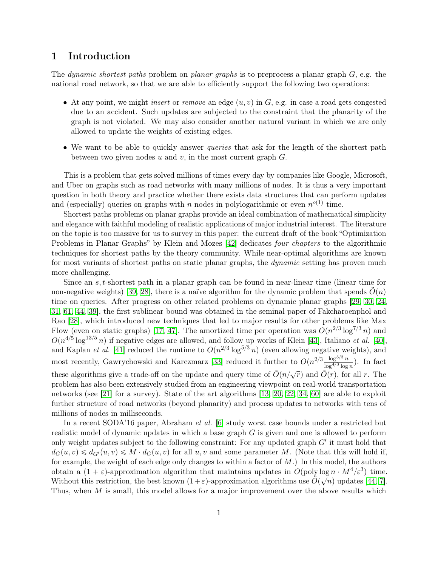### 1 Introduction

The *dynamic shortest paths* problem on *planar graphs* is to preprocess a planar graph  $G$ , e.g. the national road network, so that we are able to efficiently support the following two operations:

- At any point, we might *insert* or *remove* an edge  $(u, v)$  in  $G$ , e.g. in case a road gets congested due to an accident. Such updates are subjected to the constraint that the planarity of the graph is not violated. We may also consider another natural variant in which we are only allowed to update the weights of existing edges.
- We want to be able to quickly answer *queries* that ask for the length of the shortest path between two given nodes  $u$  and  $v$ , in the most current graph  $G$ .

This is a problem that gets solved millions of times every day by companies like Google, Microsoft, and Uber on graphs such as road networks with many millions of nodes. It is thus a very important question in both theory and practice whether there exists data structures that can perform updates and (especially) queries on graphs with n nodes in polylogarithmic or even  $n^{o(1)}$  time.

Shortest paths problems on planar graphs provide an ideal combination of mathematical simplicity and elegance with faithful modeling of realistic applications of major industrial interest. The literature on the topic is too massive for us to survey in this paper: the current draft of the book "Optimization Problems in Planar Graphs" by Klein and Mozes [\[42\]](#page-18-0) dedicates *four chapters* to the algorithmic techniques for shortest paths by the theory community. While near-optimal algorithms are known for most variants of shortest paths on static planar graphs, the *dynamic* setting has proven much more challenging.

Since an s, t-shortest path in a planar graph can be found in near-linear time (linear time for non-negative weights) [\[39,](#page-18-1) [28\]](#page-17-0), there is a naïve algorithm for the dynamic problem that spends  $O(n)$ time on queries. After progress on other related problems on dynamic planar graphs [\[29,](#page-17-1) [30,](#page-17-2) [24,](#page-17-3) [31,](#page-17-4) [61,](#page-19-0) [44,](#page-18-2) [39\]](#page-18-1), the first sublinear bound was obtained in the seminal paper of Fakcharoenphol and Rao [\[28\]](#page-17-0), which introduced new techniques that led to major results for other problems like Max Flow (even on static graphs) [\[17,](#page-16-0) [47\]](#page-18-3). The amortized time per operation was  $O(n^{2/3} \log^{7/3} n)$  and  $O(n^{4/5} \log^{13/5} n)$  if negative edges are allowed, and follow up works of Klein [\[43\]](#page-18-4), Italiano *et al.* [\[40\]](#page-18-5), and Kaplan *et al.* [\[41\]](#page-18-6) reduced the runtime to  $O(n^{2/3} \log^{5/3} n)$  (even allowing negative weights), and most recently, Gawrychowski and Karczmarz [\[33\]](#page-17-5) reduced it further to  $O(n^{2/3} \frac{\log^{5/3} n}{\log^{4/3} \log n})$  $\frac{\log^{3/2} n}{\log^{4/3} \log n}$ ). In fact these algorithms give a trade-off on the update and query time of  $\tilde{O}(n/\sqrt{r})$  and  $\tilde{O}(r)$ , for all r. The problem has also been extensively studied from an engineering viewpoint on real-world transportation networks (see [\[21\]](#page-17-6) for a survey). State of the art algorithms [\[13,](#page-16-1) [20,](#page-16-2) [22,](#page-17-7) [34,](#page-17-8) [60\]](#page-19-1) are able to exploit further structure of road networks (beyond planarity) and process updates to networks with tens of millions of nodes in milliseconds.

In a recent SODA'16 paper, Abraham et al. [\[6\]](#page-15-0) study worst case bounds under a restricted but realistic model of dynamic updates in which a base graph G is given and one is allowed to perform only weight updates subject to the following constraint: For any updated graph  $G'$  it must hold that  $d_G(u, v) \leq d_{G'}(u, v) \leq M \cdot d_G(u, v)$  for all  $u, v$  and some parameter M. (Note that this will hold if, for example, the weight of each edge only changes to within a factor of  $M$ .) In this model, the authors obtain a  $(1 + \varepsilon)$ -approximation algorithm that maintains updates in  $O(poly \log n \cdot M^4/\varepsilon^3)$  time. Without this restriction, the best known  $(1+\varepsilon)$ -approximation algorithms use  $\tilde{O}(\sqrt{n})$  updates [\[44,](#page-18-2) [7\]](#page-16-3). Thus, when M is small, this model allows for a major improvement over the above results which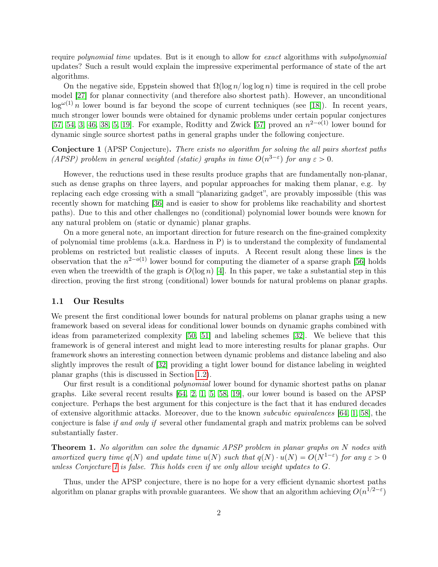require *polynomial time* updates. But is it enough to allow for exact algorithms with *subpolynomial* updates? Such a result would explain the impressive experimental performance of state of the art algorithms.

On the negative side, Eppstein showed that  $\Omega(\log n/\log \log n)$  time is required in the cell probe model [\[27\]](#page-17-9) for planar connectivity (and therefore also shortest path). However, an unconditional  $\log^{\omega(1)} n$  lower bound is far beyond the scope of current techniques (see [\[18\]](#page-16-4)). In recent years, much stronger lower bounds were obtained for dynamic problems under certain popular conjectures [\[57,](#page-19-2) [54,](#page-19-3) [3,](#page-15-1) [46,](#page-18-7) [38,](#page-18-8) [5,](#page-15-2) [19\]](#page-16-5). For example, Roditty and Zwick [\[57\]](#page-19-2) proved an  $n^{2-o(1)}$  lower bound for dynamic single source shortest paths in general graphs under the following conjecture.

<span id="page-2-0"></span>Conjecture 1 (APSP Conjecture). There exists no algorithm for solving the all pairs shortest paths (APSP) problem in general weighted (static) graphs in time  $O(n^{3-\epsilon})$  for any  $\varepsilon > 0$ .

However, the reductions used in these results produce graphs that are fundamentally non-planar, such as dense graphs on three layers, and popular approaches for making them planar, e.g. by replacing each edge crossing with a small "planarizing gadget", are provably impossible (this was recently shown for matching [\[36\]](#page-18-9) and is easier to show for problems like reachability and shortest paths). Due to this and other challenges no (conditional) polynomial lower bounds were known for any natural problem on (static or dynamic) planar graphs.

On a more general note, an important direction for future research on the fine-grained complexity of polynomial time problems (a.k.a. Hardness in P) is to understand the complexity of fundamental problems on restricted but realistic classes of inputs. A Recent result along these lines is the observation that the  $n^{2-o(1)}$  lower bound for computing the diameter of a sparse graph [\[56\]](#page-19-4) holds even when the treewidth of the graph is  $O(\log n)$  [\[4\]](#page-15-3). In this paper, we take a substantial step in this direction, proving the first strong (conditional) lower bounds for natural problems on planar graphs.

#### 1.1 Our Results

We present the first conditional lower bounds for natural problems on planar graphs using a new framework based on several ideas for conditional lower bounds on dynamic graphs combined with ideas from parameterized complexity [\[50,](#page-19-5) [51\]](#page-19-6) and labeling schemes [\[32\]](#page-17-10). We believe that this framework is of general interest and might lead to more interesting results for planar graphs. Our framework shows an interesting connection between dynamic problems and distance labeling and also slightly improves the result of [\[32\]](#page-17-10) providing a tight lower bound for distance labeling in weighted planar graphs (this is discussed in Section [1.2\)](#page-4-0).

Our first result is a conditional polynomial lower bound for dynamic shortest paths on planar graphs. Like several recent results [\[64,](#page-19-7) [2,](#page-15-4) [1,](#page-15-5) [5,](#page-15-2) [58,](#page-19-8) [19\]](#page-16-5), our lower bound is based on the APSP conjecture. Perhaps the best argument for this conjecture is the fact that it has endured decades of extensive algorithmic attacks. Moreover, due to the known subcubic equivalences [\[64,](#page-19-7) [1,](#page-15-5) [58\]](#page-19-8), the conjecture is false if and only if several other fundamental graph and matrix problems can be solved substantially faster.

<span id="page-2-1"></span>**Theorem 1.** No algorithm can solve the dynamic APSP problem in planar graphs on N nodes with amortized query time  $q(N)$  and update time  $u(N)$  such that  $q(N) \cdot u(N) = O(N^{1-\epsilon})$  for any  $\varepsilon > 0$ unless Conjecture [1](#page-2-0) is false. This holds even if we only allow weight updates to G.

Thus, under the APSP conjecture, there is no hope for a very efficient dynamic shortest paths algorithm on planar graphs with provable guarantees. We show that an algorithm achieving  $O(n^{1/2-\epsilon})$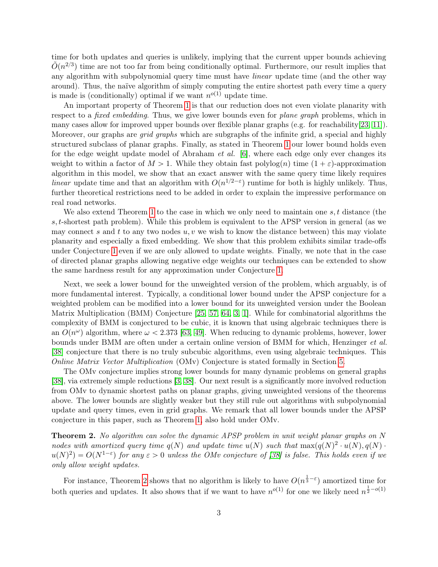time for both updates and queries is unlikely, implying that the current upper bounds achieving  $\tilde{O}(n^{2/3})$  time are not too far from being conditionally optimal. Furthermore, our result implies that any algorithm with subpolynomial query time must have *linear* update time (and the other way around). Thus, the naïve algorithm of simply computing the entire shortest path every time a query is made is (conditionally) optimal if we want  $n^{o(1)}$  update time.

An important property of Theorem [1](#page-2-1) is that our reduction does not even violate planarity with respect to a *fixed embedding*. Thus, we give lower bounds even for *plane graph* problems, which in many cases allow for improved upper bounds over flexible planar graphs (e.g. for reachability[\[23,](#page-17-11) [11\]](#page-16-6)). Moreover, our graphs are *grid graphs* which are subgraphs of the infinite grid, a special and highly structured subclass of planar graphs. Finally, as stated in Theorem [1](#page-2-1) our lower bound holds even for the edge weight update model of Abraham *et al.* [\[6\]](#page-15-0), where each edge only ever changes its weight to within a factor of  $M > 1$ . While they obtain fast polylog(n) time  $(1 + \varepsilon)$ -approximation algorithm in this model, we show that an exact answer with the same query time likely requires linear update time and that an algorithm with  $O(n^{1/2-\epsilon})$  runtime for both is highly unlikely. Thus, further theoretical restrictions need to be added in order to explain the impressive performance on real road networks.

We also extend Theorem [1](#page-2-1) to the case in which we only need to maintain one  $s, t$  distance (the s, t-shortest path problem). While this problem is equivalent to the APSP version in general (as we may connect s and t to any two nodes  $u, v$  we wish to know the distance between) this may violate planarity and especially a fixed embedding. We show that this problem exhibits similar trade-offs under Conjecture [1](#page-2-0) even if we are only allowed to update weights. Finally, we note that in the case of directed planar graphs allowing negative edge weights our techniques can be extended to show the same hardness result for any approximation under Conjecture [1.](#page-2-0)

Next, we seek a lower bound for the unweighted version of the problem, which arguably, is of more fundamental interest. Typically, a conditional lower bound under the APSP conjecture for a weighted problem can be modified into a lower bound for its unweighted version under the Boolean Matrix Multiplication (BMM) Conjecture [\[25,](#page-17-12) [57,](#page-19-2) [64,](#page-19-7) [3,](#page-15-1) [1\]](#page-15-5). While for combinatorial algorithms the complexity of BMM is conjectured to be cubic, it is known that using algebraic techniques there is an  $O(n^{\omega})$  algorithm, where  $\omega < 2.373$  [\[63,](#page-19-9) [49\]](#page-18-10). When reducing to dynamic problems, however, lower bounds under BMM are often under a certain online version of BMM for which, Henzinger et al. [\[38\]](#page-18-8) conjecture that there is no truly subcubic algorithms, even using algebraic techniques. This Online Matrix Vector Multiplication (OMv) Conjecture is stated formally in Section [5.](#page-12-0)

The OMv conjecture implies strong lower bounds for many dynamic problems on general graphs [\[38\]](#page-18-8), via extremely simple reductions [\[3,](#page-15-1) [38\]](#page-18-8). Our next result is a significantly more involved reduction from OMv to dynamic shortest paths on planar graphs, giving unweighted versions of the theorems above. The lower bounds are slightly weaker but they still rule out algorithms with subpolynomial update and query times, even in grid graphs. We remark that all lower bounds under the APSP conjecture in this paper, such as Theorem [1,](#page-2-1) also hold under OMv.

<span id="page-3-0"></span>Theorem 2. No algorithm can solve the dynamic APSP problem in unit weight planar graphs on N nodes with amortized query time  $q(N)$  and update time  $u(N)$  such that  $\max(q(N)^2 \cdot u(N), q(N) \cdot w(N))$  $u(N)^2$ ) =  $O(N^{1-\varepsilon})$  for any  $\varepsilon > 0$  unless the OMv conjecture of [\[38\]](#page-18-8) is false. This holds even if we only allow weight updates.

For instance, Theorem [2](#page-3-0) shows that no algorithm is likely to have  $O(n^{\frac{1}{3}-\varepsilon})$  amortized time for both queries and updates. It also shows that if we want to have  $n^{o(1)}$  for one we likely need  $n^{\frac{1}{2}-o(1)}$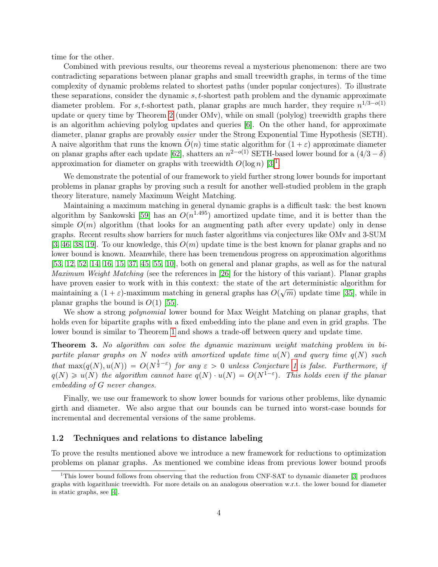time for the other.

Combined with previous results, our theorems reveal a mysterious phenomenon: there are two contradicting separations between planar graphs and small treewidth graphs, in terms of the time complexity of dynamic problems related to shortest paths (under popular conjectures). To illustrate these separations, consider the dynamic s, t-shortest path problem and the dynamic approximate diameter problem. For s, t-shortest path, planar graphs are much harder, they require  $n^{1/3-o(1)}$ update or query time by Theorem [2](#page-3-0) (under OMv), while on small (polylog) treewidth graphs there is an algorithm achieving polylog updates and queries [\[6\]](#page-15-0). On the other hand, for approximate diameter, planar graphs are provably easier under the Strong Exponential Time Hypothesis (SETH). A naive algorithm that runs the known  $O(n)$  time static algorithm for  $(1 + \varepsilon)$  approximate diameter on planar graphs after each update [\[62\]](#page-19-10), shatters an  $n^{2-o(1)}$  SETH-based lower bound for a  $(4/3 - \delta)$ approximation for diameter on graphs with treewidth  $O(\log n)$  [\[3\]](#page-15-1)<sup>[1](#page-4-1)</sup>.

We demonstrate the potential of our framework to yield further strong lower bounds for important problems in planar graphs by proving such a result for another well-studied problem in the graph theory literature, namely Maximum Weight Matching.

Maintaining a maximum matching in general dynamic graphs is a difficult task: the best known algorithm by Sankowski [\[59\]](#page-19-11) has an  $O(n^{1.495})$  amortized update time, and it is better than the simple  $O(m)$  algorithm (that looks for an augmenting path after every update) only in dense graphs. Recent results show barriers for much faster algorithms via conjectures like OMv and 3-SUM [\[3,](#page-15-1) [46,](#page-18-7) [38,](#page-18-8) [19\]](#page-16-5). To our knowledge, this  $O(m)$  update time is the best known for planar graphs and no lower bound is known. Meanwhile, there has been tremendous progress on approximation algorithms [\[53,](#page-19-12) [12,](#page-16-7) [52,](#page-19-13) [14,](#page-16-8) [16,](#page-16-9) [15,](#page-16-10) [37,](#page-18-11) [45,](#page-18-12) [55,](#page-19-14) [10\]](#page-16-11), both on general and planar graphs, as well as for the natural Maximum Weight Matching (see the references in [\[26\]](#page-17-13) for the history of this variant). Planar graphs have proven easier to work with in this context: the state of the art deterministic algorithm for maintaining a  $(1 + \varepsilon)$ -maximum matching in general graphs has  $O(\sqrt{m})$  update time [\[35\]](#page-17-14), while in planar graphs the bound is  $O(1)$  [\[55\]](#page-19-14).

We show a strong *polynomial* lower bound for Max Weight Matching on planar graphs, that holds even for bipartite graphs with a fixed embedding into the plane and even in grid graphs. The lower bound is similar to Theorem [1](#page-2-1) and shows a trade-off between query and update time.

<span id="page-4-2"></span>Theorem 3. No algorithm can solve the dynamic maximum weight matching problem in bipartite planar graphs on N nodes with amortized update time  $u(N)$  and query time  $q(N)$  such that  $\max(q(N), u(N)) = O(N^{\frac{1}{2}-\varepsilon})$  for any  $\varepsilon > 0$  unless Conjecture [1](#page-2-0) is false. Furthermore, if  $q(N) \geq u(N)$  the algorithm cannot have  $q(N) \cdot u(N) = O(N^{1-\varepsilon})$ . This holds even if the planar embedding of G never changes.

Finally, we use our framework to show lower bounds for various other problems, like dynamic girth and diameter. We also argue that our bounds can be turned into worst-case bounds for incremental and decremental versions of the same problems.

#### <span id="page-4-0"></span>1.2 Techniques and relations to distance labeling

To prove the results mentioned above we introduce a new framework for reductions to optimization problems on planar graphs. As mentioned we combine ideas from previous lower bound proofs

<span id="page-4-1"></span><sup>&</sup>lt;sup>1</sup>This lower bound follows from observing that the reduction from CNF-SAT to dynamic diameter [\[3\]](#page-15-1) produces graphs with logarithmic treewidth. For more details on an analogous observation w.r.t. the lower bound for diameter in static graphs, see [\[4\]](#page-15-3).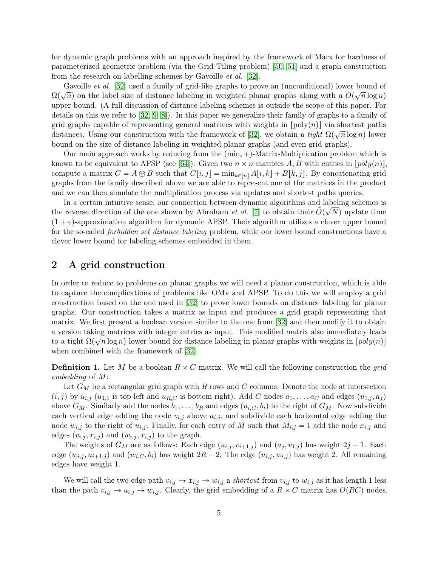for dynamic graph problems with an approach inspired by the framework of Marx for hardness of parameterized geometric problem (via the Grid Tiling problem) [\[50,](#page-19-5) [51\]](#page-19-6) and a graph construction from the research on labelling schemes by Gavoille et al. [\[32\]](#page-17-10).

Gavoille *et al.* [\[32\]](#page-17-10) used a family of grid-like graphs to prove an (unconditional) lower bound of  $\Omega(\sqrt{n})$  on the label size of distance labeling in weighted planar graphs along with a  $O(\sqrt{n}\log n)$ upper bound. (A full discussion of distance labeling schemes is outside the scope of this paper. For details on this we refer to [\[32,](#page-17-10) [9,](#page-16-12) [8\]](#page-16-13)). In this paper we generalize their family of graphs to a family of grid graphs capable of representing general matrices with weights in  $[poly(n)]$  via shortest paths distances. Using our construction with the framework of [\[32\]](#page-17-10), we obtain a *tight*  $\Omega(\sqrt{n}\log n)$  lower bound on the size of distance labeling in weighted planar graphs (and even grid graphs).

Our main approach works by reducing from the  $(min, +)$ -Matrix-Multiplication problem which is known to be equivalent to APSP (see [\[64\]](#page-19-7)): Given two  $n \times n$  matrices A, B with entries in  $[poly(n)]$ . compute a matrix  $C = A \oplus B$  such that  $C[i, j] = \min_{k \in [n]} A[i, k] + B[k, j]$ . By concatenating grid graphs from the family described above we are able to represent one of the matrices in the product and we can then simulate the multiplication process via updates and shortest paths queries.

In a certain intuitive sense, our connection between dynamic algorithms and labeling schemes is the reverse direction of the one shown by Abraham *et al.* [\[7\]](#page-16-3) to obtain their  $\tilde{O}(\sqrt{N})$  update time  $(1 + \varepsilon)$ -approximation algorithm for dynamic APSP. Their algorithm utilizes a clever upper bound for the so-called *forbidden set distance labeling* problem, while our lower bound constructions have a clever lower bound for labeling schemes embedded in them.

### <span id="page-5-1"></span>2 A grid construction

In order to reduce to problems on planar graphs we will need a planar construction, which is able to capture the complications of problems like OMv and APSP. To do this we will employ a grid construction based on the one used in [\[32\]](#page-17-10) to prove lower bounds on distance labeling for planar graphs. Our construction takes a matrix as input and produces a grid graph representing that matrix. We first present a boolean version similar to the one from [\[32\]](#page-17-10) and then modify it to obtain a version taking matrices with integer entries as input. This modified matrix also immediately leads to a tight  $\Omega(\sqrt{n}\log n)$  lower bound for distance labeling in planar graphs with weights in  $[poly(n)]$ when combined with the framework of [\[32\]](#page-17-10).

<span id="page-5-0"></span>**Definition 1.** Let M be a boolean  $R \times C$  matrix. We will call the following construction the grid embedding of M:

Let  $G_M$  be a rectangular grid graph with R rows and C columns. Denote the node at intersection  $(i, j)$  by  $u_{i,j}$  ( $u_{1,1}$  is top-left and  $u_{R,C}$  is bottom-right). Add C nodes  $a_1, \ldots, a_C$  and edges  $(u_{1,j}, a_j)$ above  $G_M$ . Similarly add the nodes  $b_1, \ldots, b_R$  and edges  $(u_i, C, b_i)$  to the right of  $G_M$ . Now subdivide each vertical edge adding the node  $v_{i,j}$  above  $u_{i,j}$ , and subdivide each horizontal edge adding the node  $w_{i,j}$  to the right of  $u_{i,j}$ . Finally, for each entry of M such that  $M_{i,j} = 1$  add the node  $x_{i,j}$  and edges  $(v_{i,j}, x_{i,j})$  and  $(w_{i,j}, x_{i,j})$  to the graph.

The weights of  $G_M$  are as follows: Each edge  $(u_{i,j}, v_{i+1,j})$  and  $(a_j, v_{1,j})$  has weight  $2j - 1$ . Each edge  $(w_{i,j}, u_{i+1,j})$  and  $(w_{i,C}, b_i)$  has weight  $2R - 2$ . The edge  $(u_{i,j}, w_{i,j})$  has weight 2. All remaining edges have weight 1.

We will call the two-edge path  $v_{i,j} \to x_{i,j} \to w_{i,j}$  a shortcut from  $v_{i,j}$  to  $w_{i,j}$  as it has length 1 less than the path  $v_{i,j} \to u_{i,j} \to w_{i,j}$ . Clearly, the grid embedding of a  $R \times C$  matrix has  $O(RC)$  nodes.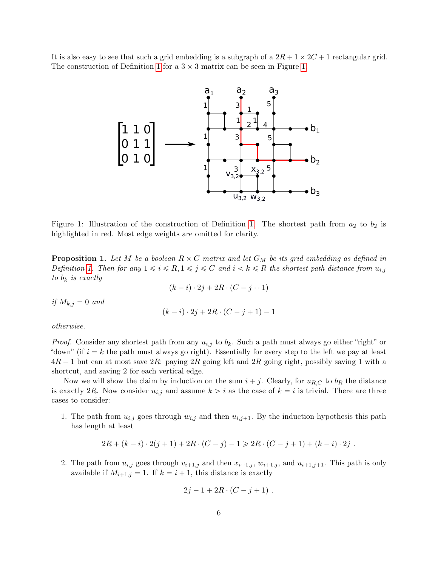It is also easy to see that such a grid embedding is a subgraph of a  $2R + 1 \times 2C + 1$  rectangular grid. The construction of Definition [1](#page-5-0) for a  $3 \times 3$  matrix can be seen in Figure [1.](#page-6-0)



<span id="page-6-0"></span>Figure 1: Illustration of the construction of Definition [1.](#page-5-0) The shortest path from  $a_2$  to  $b_2$  is highlighted in red. Most edge weights are omitted for clarity.

<span id="page-6-1"></span>**Proposition 1.** Let M be a boolean  $R \times C$  matrix and let  $G_M$  be its grid embedding as defined in Definition [1.](#page-5-0) Then for any  $1 \leq i \leq R$ ,  $1 \leq j \leq C$  and  $i < k \leq R$  the shortest path distance from  $u_{i,j}$ to  $b_k$  is exactly

 $(k - i) \cdot 2j + 2R \cdot (C - j + 1)$ 

if  $M_{k,j} = 0$  and

$$
(k-i) \cdot 2j + 2R \cdot (C-j+1) - 1
$$

otherwise.

*Proof.* Consider any shortest path from any  $u_{i,j}$  to  $b_k$ . Such a path must always go either "right" or "down" (if  $i = k$  the path must always go right). Essentially for every step to the left we pay at least  $4R - 1$  but can at most save  $2R$ : paying  $2R$  going left and  $2R$  going right, possibly saving 1 with a shortcut, and saving 2 for each vertical edge.

Now we will show the claim by induction on the sum  $i + j$ . Clearly, for  $u_{R,C}$  to  $b_R$  the distance is exactly 2R. Now consider  $u_{i,j}$  and assume  $k > i$  as the case of  $k = i$  is trivial. There are three cases to consider:

1. The path from  $u_{i,j}$  goes through  $w_{i,j}$  and then  $u_{i,j+1}$ . By the induction hypothesis this path has length at least

$$
2R + (k - i) \cdot 2(j + 1) + 2R \cdot (C - j) - 1 \ge 2R \cdot (C - j + 1) + (k - i) \cdot 2j.
$$

2. The path from  $u_{i,j}$  goes through  $v_{i+1,j}$  and then  $x_{i+1,j}$ ,  $w_{i+1,j}$ , and  $u_{i+1,j+1}$ . This path is only available if  $M_{i+1,j} = 1$ . If  $k = i + 1$ , this distance is exactly

$$
2j - 1 + 2R \cdot (C - j + 1) \; .
$$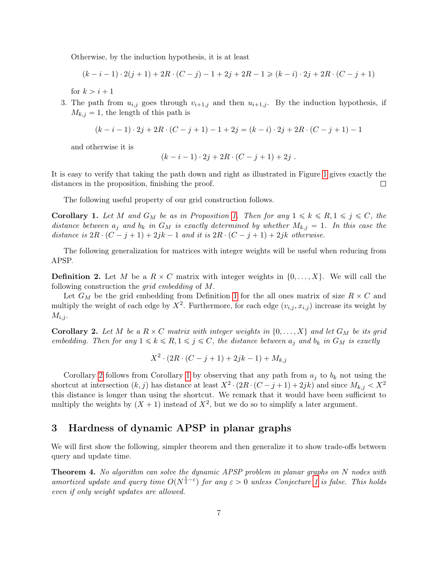Otherwise, by the induction hypothesis, it is at least

$$
(k-i-1)\cdot 2(j+1) + 2R\cdot (C-j) - 1 + 2j + 2R - 1 \geq (k-i)\cdot 2j + 2R\cdot (C-j+1)
$$

for  $k > i + 1$ 

3. The path from  $u_{i,j}$  goes through  $v_{i+1,j}$  and then  $u_{i+1,j}$ . By the induction hypothesis, if  $M_{k,j} = 1$ , the length of this path is

$$
(k-i-1)\cdot 2j+2R\cdot (C-j+1)-1+2j=(k-i)\cdot 2j+2R\cdot (C-j+1)-1
$$

and otherwise it is

$$
(k-i-1)\cdot 2j+2R\cdot (C-j+1)+2j.
$$

It is easy to verify that taking the path down and right as illustrated in Figure [1](#page-6-0) gives exactly the distances in the proposition, finishing the proof.  $\Box$ 

The following useful property of our grid construction follows.

<span id="page-7-1"></span>**Corollary [1.](#page-6-1)** Let M and  $G_M$  be as in Proposition 1. Then for any  $1 \leq k \leq R, 1 \leq j \leq C$ , the distance between  $a_j$  and  $b_k$  in  $G_M$  is exactly determined by whether  $M_{k,j} = 1$ . In this case the distance is  $2R \cdot (C - j + 1) + 2jk - 1$  and it is  $2R \cdot (C - j + 1) + 2jk$  otherwise.

The following generalization for matrices with integer weights will be useful when reducing from APSP.

<span id="page-7-3"></span>**Definition 2.** Let M be a  $R \times C$  matrix with integer weights in  $\{0, \ldots, X\}$ . We will call the following construction the grid embedding of M.

Let  $G_M$  be the grid embedding from Definition [1](#page-5-0) for the all ones matrix of size  $R \times C$  and multiply the weight of each edge by  $X^2$ . Furthermore, for each edge  $(v_{i,j}, x_{i,j})$  increase its weight by  $M_{i,j}$ .

<span id="page-7-0"></span>**Corollary 2.** Let M be a  $R \times C$  matrix with integer weights in  $\{0, \ldots, X\}$  and let  $G_M$  be its grid embedding. Then for any  $1 \leq k \leq R$ ,  $1 \leq j \leq C$ , the distance between  $a_j$  and  $b_k$  in  $G_M$  is exactly

$$
X^2 \cdot (2R \cdot (C-j+1) + 2jk - 1) + M_{k,j}
$$

Corollary [2](#page-7-0) follows from Corollary [1](#page-7-1) by observing that any path from  $a_j$  to  $b_k$  not using the shortcut at intersection  $(k, j)$  has distance at least  $X^2 \cdot (2R \cdot (C-j+1) + 2jk)$  and since  $M_{k,j} < X^2$ this distance is longer than using the shortcut. We remark that it would have been sufficient to multiply the weights by  $(X + 1)$  instead of  $X^2$ , but we do so to simplify a later argument.

### <span id="page-7-4"></span>3 Hardness of dynamic APSP in planar graphs

We will first show the following, simpler theorem and then generalize it to show trade-offs between query and update time.

<span id="page-7-2"></span>Theorem 4. No algorithm can solve the dynamic APSP problem in planar graphs on N nodes with amortized update and query time  $O(N^{\frac{1}{2}-\varepsilon})$  for any  $\varepsilon > 0$  unless Conjecture [1](#page-2-0) is false. This holds even if only weight updates are allowed.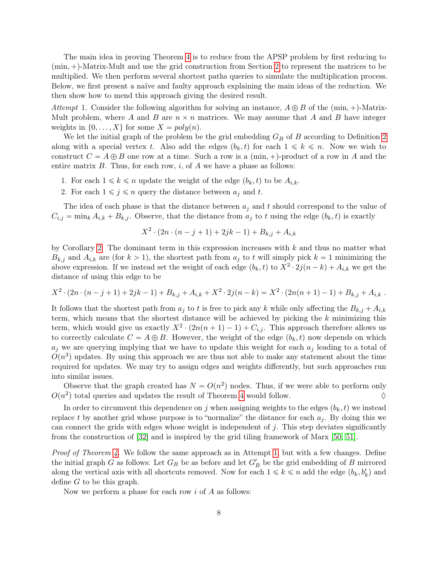The main idea in proving Theorem [4](#page-7-2) is to reduce from the APSP problem by first reducing to  $(\min, +)$ -Matrix-Mult and use the grid construction from Section [2](#page-5-1) to represent the matrices to be multiplied. We then perform several shortest paths queries to simulate the multiplication process. Below, we first present a naïve and faulty approach explaining the main ideas of the reduction. We then show how to mend this approach giving the desired result.

<span id="page-8-0"></span>Attempt 1. Consider the following algorithm for solving an instance,  $A \oplus B$  of the (min, +)-Matrix-Mult problem, where A and B are  $n \times n$  matrices. We may assume that A and B have integer weights in  $\{0, \ldots, X\}$  for some  $X = poly(n)$ .

We let the initial graph of the problem be the grid embedding  $G_B$  of B according to Definition [2](#page-7-3) along with a special vertex t. Also add the edges  $(b_k, t)$  for each  $1 \leq k \leq n$ . Now we wish to construct  $C = A \oplus B$  one row at a time. Such a row is a (min, +)-product of a row in A and the entire matrix  $B$ . Thus, for each row, i, of  $A$  we have a phase as follows:

- 1. For each  $1 \leq k \leq n$  update the weight of the edge  $(b_k, t)$  to be  $A_{i,k}$ .
- 2. For each  $1 \leq j \leq n$  query the distance between  $a_j$  and t.

The idea of each phase is that the distance between  $a_j$  and t should correspond to the value of  $C_{i,j} = \min_k A_{i,k} + B_{k,j}$ . Observe, that the distance from  $a_j$  to t using the edge  $(b_k, t)$  is exactly

$$
X^{2} \cdot (2n \cdot (n-j+1) + 2jk - 1) + B_{k,j} + A_{i,k}
$$

by Corollary [2.](#page-7-0) The dominant term in this expression increases with  $k$  and thus no matter what  $B_{k,j}$  and  $A_{i,k}$  are (for  $k > 1$ ), the shortest path from  $a_j$  to t will simply pick  $k = 1$  minimizing the above expression. If we instead set the weight of each edge  $(b_k, t)$  to  $X^2 \cdot 2j(n-k) + A_{i,k}$  we get the distance of using this edge to be

$$
X^{2} \cdot (2n \cdot (n-j+1) + 2jk-1) + B_{k,j} + A_{i,k} + X^{2} \cdot 2j(n-k) = X^{2} \cdot (2n(n+1)-1) + B_{k,j} + A_{i,k}.
$$

It follows that the shortest path from  $a_j$  to t is free to pick any k while only affecting the  $B_{k,j} + A_{i,k}$ term, which means that the shortest distance will be achieved by picking the  $k$  minimizing this term, which would give us exactly  $X^2 \cdot (2n(n+1)-1) + C_{i,j}$ . This approach therefore allows us to correctly calculate  $C = A \oplus B$ . However, the weight of the edge  $(b_k, t)$  now depends on which  $a_i$  we are querying implying that we have to update this weight for each  $a_i$  leading to a total of  $O(n^3)$  updates. By using this approach we are thus not able to make any statement about the time required for updates. We may try to assign edges and weights differently, but such approaches run into similar issues.

Observe that the graph created has  $N = O(n^2)$  nodes. Thus, if we were able to perform only  $O(n^2)$  total queries and updates the result of Theorem [4](#page-7-2) would follow.  $\diamond$ 

In order to circumvent this dependence on j when assigning weights to the edges  $(b_k, t)$  we instead replace t by another grid whose purpose is to "normalize" the distance for each  $a_i$ . By doing this we can connect the grids with edges whose weight is independent of  $j$ . This step deviates significantly from the construction of [\[32\]](#page-17-10) and is inspired by the grid tiling framework of Marx [\[50,](#page-19-5) [51\]](#page-19-6).

Proof of Theorem [4.](#page-7-2) We follow the same approach as in Attempt [1,](#page-8-0) but with a few changes. Define the initial graph G as follows: Let  $G_B$  be as before and let  $G'_B$  be the grid embedding of B mirrored along the vertical axis with all shortcuts removed. Now for each  $1 \leq k \leq n$  add the edge  $(b_k, b'_k)$  and define G to be this graph.

Now we perform a phase for each row  $i$  of  $A$  as follows: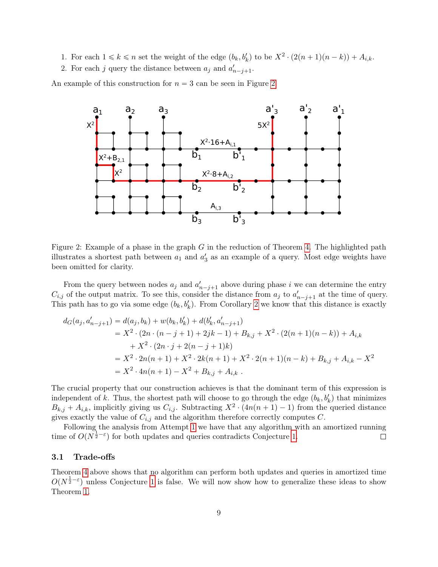- 1. For each  $1 \leq k \leq n$  set the weight of the edge  $(b_k, b'_k)$  to be  $X^2 \cdot (2(n+1)(n-k)) + A_{i,k}$ .
- 2. For each j query the distance between  $a_j$  and  $a'_{n-j+1}$ .

An example of this construction for  $n = 3$  can be seen in Figure [2.](#page-9-0)



<span id="page-9-0"></span>Figure 2: Example of a phase in the graph  $G$  in the reduction of Theorem [4.](#page-7-2) The highlighted path illustrates a shortest path between  $a_1$  and  $a'_3$  as an example of a query. Most edge weights have been omitted for clarity.

From the query between nodes  $a_j$  and  $a'_{n-j+1}$  above during phase i we can determine the entry  $C_{i,j}$  of the output matrix. To see this, consider the distance from  $a_j$  to  $a'_{n-j+1}$  at the time of query. This path has to go via some edge  $(b_k, b'_k)$ . From Corollary [2](#page-7-0) we know that this distance is exactly

$$
d_G(a_j, a'_{n-j+1}) = d(a_j, b_k) + w(b_k, b'_k) + d(b'_k, a'_{n-j+1})
$$
  
=  $X^2 \cdot (2n \cdot (n-j+1) + 2jk - 1) + B_{k,j} + X^2 \cdot (2(n+1)(n-k)) + A_{i,k}$   
+  $X^2 \cdot (2n \cdot j + 2(n-j+1)k)$   
=  $X^2 \cdot 2n(n+1) + X^2 \cdot 2k(n+1) + X^2 \cdot 2(n+1)(n-k) + B_{k,j} + A_{i,k} - X^2$   
=  $X^2 \cdot 4n(n+1) - X^2 + B_{k,j} + A_{i,k}$ .

The crucial property that our construction achieves is that the dominant term of this expression is independent of k. Thus, the shortest path will choose to go through the edge  $(b_k, b'_k)$  that minimizes  $B_{k,j} + A_{i,k}$ , implicitly giving us  $C_{i,j}$ . Subtracting  $X^2 \cdot (4n(n+1)-1)$  from the queried distance gives exactly the value of  $C_{i,j}$  and the algorithm therefore correctly computes C.

Following the analysis from Attempt [1](#page-8-0) we have that any algorithm with an amortized running time of  $O(N^{\frac{1}{2}-\epsilon})$  for both updates and queries contradicts Conjecture [1.](#page-2-0)  $\Box$ 

#### 3.1 Trade-offs

Theorem [4](#page-7-2) above shows that no algorithm can perform both updates and queries in amortized time  $O(N^{\frac{1}{2}-\varepsilon})$  unless Conjecture [1](#page-2-0) is false. We will now show how to generalize these ideas to show Theorem [1.](#page-2-1)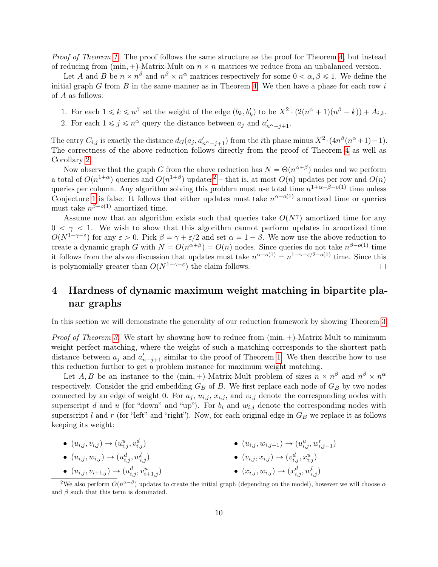Proof of Theorem [1.](#page-2-1) The proof follows the same structure as the proof for Theorem [4,](#page-7-2) but instead of reducing from  $(min, +)$ -Matrix-Mult on  $n \times n$  matrices we reduce from an unbalanced version.

Let A and B be  $n \times n^{\beta}$  and  $n^{\beta} \times n^{\alpha}$  matrices respectively for some  $0 < \alpha, \beta \leq 1$ . We define the initial graph G from B in the same manner as in Theorem [4.](#page-7-2) We then have a phase for each row  $i$ of A as follows:

- 1. For each  $1 \leq k \leq n^{\beta}$  set the weight of the edge  $(b_k, b'_k)$  to be  $X^2 \cdot (2(n^{\alpha}+1)(n^{\beta}-k)) + A_{i,k}$ .
- 2. For each  $1 \leq j \leq n^{\alpha}$  query the distance between  $a_j$  and  $a'_{n^{\alpha}-j+1}$ .

The entry  $C_{i,j}$  is exactly the distance  $d_G(a_j, a'_{n^{\alpha}-j+1})$  from the *i*th phase minus  $X^2 \cdot (4n^{\beta}(n^{\alpha}+1)-1)$ . The correctness of the above reduction follows directly from the proof of Theorem [4](#page-7-2) as well as Corollary [2.](#page-7-0)

Now observe that the graph G from the above reduction has  $N = \Theta(n^{\alpha+\beta})$  nodes and we perform a total of  $O(n^{1+\alpha})$  queries and  $O(n^{1+\beta})$  updates<sup>[2](#page-10-0)</sup> – that is, at most  $O(n)$  updates per row and  $O(n)$ queries per column. Any algorithm solving this problem must use total time  $n^{1+\alpha+\beta-o(1)}$  time unless Conjecture [1](#page-2-0) is false. It follows that either updates must take  $n^{\alpha-o(1)}$  amortized time or queries must take  $n^{\beta-o(1)}$  amortized time.

Assume now that an algorithm exists such that queries take  $O(N^{\gamma})$  amortized time for any  $0 < \gamma < 1$ . We wish to show that this algorithm cannot perform updates in amortized time  $O(N^{1-\gamma-\epsilon})$  for any  $\varepsilon > 0$ . Pick  $\beta = \gamma + \varepsilon/2$  and set  $\alpha = 1 - \beta$ . We now use the above reduction to create a dynamic graph G with  $N = O(n^{\alpha+\beta}) = O(n)$  nodes. Since queries do not take  $n^{\beta-o(1)}$  time it follows from the above discussion that updates must take  $n^{\alpha-o(1)} = n^{1-\gamma-\varepsilon/2-o(1)}$  time. Since this is polynomially greater than  $O(N^{1-\gamma-\varepsilon})$  the claim follows.  $\Box$ 

## 4 Hardness of dynamic maximum weight matching in bipartite planar graphs

In this section we will demonstrate the generality of our reduction framework by showing Theorem [3.](#page-4-2)

*Proof of Theorem [3.](#page-4-2)* We start by showing how to reduce from  $(\min, +)$ -Matrix-Mult to minimum weight perfect matching, where the weight of such a matching corresponds to the shortest path distance between  $a_j$  and  $a'_{n-j+1}$  similar to the proof of Theorem [1.](#page-2-1) We then describe how to use this reduction further to get a problem instance for maximum weight matching.

Let A, B be an instance to the  $(\min, +)$ -Matrix-Mult problem of sizes  $n \times n^{\beta}$  and  $n^{\beta} \times n^{\alpha}$ respectively. Consider the grid embedding  $G_B$  of B. We first replace each node of  $G_B$  by two nodes connected by an edge of weight 0. For  $a_j$ ,  $u_{i,j}$ ,  $x_{i,j}$ , and  $v_{i,j}$  denote the corresponding nodes with superscript d and u (for "down" and "up"). For  $b_i$  and  $w_{i,j}$  denote the corresponding nodes with superscript l and r (for "left" and "right"). Now, for each original edge in  $G_B$  we replace it as follows keeping its weight:

• 
$$
(u_{i,j}, v_{i,j}) \rightarrow (u_{i,j}^u, v_{i,j}^d)
$$
 •  $(u_{i,j}, w_{i,j-1}) \rightarrow (u_{i,j}^u, w_{i,j-1}^r)$ 

- $(u_{i,j}, w_{i,j}) \to (u_{i,j}^d, w_{i,j}^l)$
- <span id="page-10-0"></span> $\bullet \ (u_{i,j}, v_{i+1,j}) \rightarrow (u_{i,j}^d, v_{i+1,j}^u)$

•  $(v_{i,j}, x_{i,j}) \rightarrow (v_{i,j}^d, x_{i,j}^u)$ •  $(x_{i,j}, w_{i,j}) \rightarrow (x_{i,j}^d, w_{i,j}^l)$ 

<sup>&</sup>lt;sup>2</sup>We also perform  $O(n^{\alpha+\beta})$  updates to create the initial graph (depending on the model), however we will choose  $\alpha$ and  $\beta$  such that this term is dominated.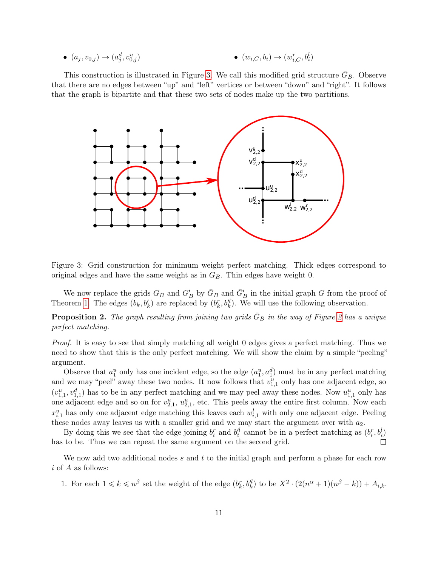• 
$$
(a_j, v_{0,j}) \to (a_j^d, v_{0,j}^u)
$$
 •  $(w_{i,C}, b_i) \to (w_{i,C}^r, b_i^l)$ 

This construction is illustrated in Figure [3.](#page-11-0) We call this modified grid structure  $\bar{G}_B$ . Observe that there are no edges between "up" and "left" vertices or between "down" and "right". It follows that the graph is bipartite and that these two sets of nodes make up the two partitions.



<span id="page-11-0"></span>Figure 3: Grid construction for minimum weight perfect matching. Thick edges correspond to original edges and have the same weight as in  $G_B$ . Thin edges have weight 0.

We now replace the grids  $G_B$  and  $G'_B$  by  $\bar{G}_B$  and  $\bar{G}'_B$  in the initial graph G from the proof of Theorem [1.](#page-2-1) The edges  $(b_k, b'_k)$  are replaced by  $(b_k^r, b_k^l)$ . We will use the following observation.

**Proposition [2](#page-9-0).** The graph resulting from joining two grids  $\bar{G}_B$  in the way of Figure 2 has a unique perfect matching.

Proof. It is easy to see that simply matching all weight 0 edges gives a perfect matching. Thus we need to show that this is the only perfect matching. We will show the claim by a simple "peeling" argument.

Observe that  $a_1^u$  only has one incident edge, so the edge  $(a_1^u, a_1^d)$  must be in any perfect matching and we may "peel" away these two nodes. It now follows that  $v_{1,1}^u$  only has one adjacent edge, so  $(v_{1,1}^u, v_{1,1}^d)$  has to be in any perfect matching and we may peel away these nodes. Now  $u_{1,1}^u$  only has one adjacent edge and so on for  $v_{2,1}^u$ ,  $u_{2,1}^u$ , etc. This peels away the entire first column. Now each  $x_{i,1}^u$  has only one adjacent edge matching this leaves each  $w_{i,1}^l$  with only one adjacent edge. Peeling these nodes away leaves us with a smaller grid and we may start the argument over with  $a_2$ .

By doing this we see that the edge joining  $b_i^r$  and  $b_i^{\prime l}$  cannot be in a perfect matching as  $(b_i^r, b_i^l)$ has to be. Thus we can repeat the same argument on the second grid.  $\Box$ 

We now add two additional nodes s and t to the initial graph and perform a phase for each row  $i$  of  $A$  as follows:

1. For each  $1 \leq k \leq n^{\beta}$  set the weight of the edge  $(b_k^r, b_k'^l)$  to be  $X^2 \cdot (2(n^{\alpha}+1)(n^{\beta}-k)) + A_{i,k}$ .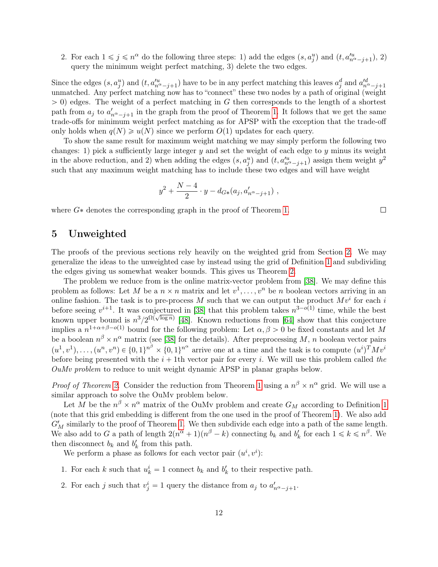2. For each  $1 \leq j \leq n^{\alpha}$  do the following three steps: 1) add the edges  $(s, a_j^u)$  and  $(t, a_{n^{\alpha}-j+1}^{\prime u})$ , 2) query the minimum weight perfect matching, 3) delete the two edges.

Since the edges  $(s, a_j^u)$  and  $(t, a_{n\alpha-j+1}^{\prime u})$  have to be in any perfect matching this leaves  $a_j^d$  and  $a_{n\alpha-j+1}^{\prime d}$ unmatched. Any perfect matching now has to "connect" these two nodes by a path of original (weight  $> 0$ ) edges. The weight of a perfect matching in G then corresponds to the length of a shortest path from  $a_j$  to  $a'_{n^{\alpha}-j+1}$  in the graph from the proof of Theorem [1.](#page-2-1) It follows that we get the same trade-offs for minimum weight perfect matching as for APSP with the exception that the trade-off only holds when  $q(N) \geq u(N)$  since we perform  $O(1)$  updates for each query.

To show the same result for maximum weight matching we may simply perform the following two changes: 1) pick a sufficiently large integer  $y$  and set the weight of each edge to  $y$  minus its weight in the above reduction, and 2) when adding the edges  $(s, a_j^u)$  and  $(t, a_{n^{\alpha}-j+1}^{\prime u})$  assign them weight  $y^2$ such that any maximum weight matching has to include these two edges and will have weight

$$
y^2 + \frac{N-4}{2} \cdot y - d_{G*}(a_j, a'_{n^{\alpha}-j+1}),
$$

where  $G^*$  denotes the corresponding graph in the proof of Theorem [1.](#page-2-1)

### <span id="page-12-0"></span>5 Unweighted

The proofs of the previous sections rely heavily on the weighted grid from Section [2.](#page-5-1) We may generalize the ideas to the unweighted case by instead using the grid of Definition [1](#page-5-0) and subdividing the edges giving us somewhat weaker bounds. This gives us Theorem [2.](#page-3-0)

The problem we reduce from is the online matrix-vector problem from [\[38\]](#page-18-8). We may define this problem as follows: Let M be a  $n \times n$  matrix and let  $v^1, \ldots, v^n$  be n boolean vectors arriving in an online fashion. The task is to pre-process M such that we can output the product  $Mv^i$  for each i before seeing  $v^{i+1}$ . It was conjectured in [\[38\]](#page-18-8) that this problem takes  $n^{3-o(1)}$  time, while the best known upper bound is  $n^3/2^{\Omega(\sqrt{\log n})}$  [\[48\]](#page-18-13). Known reductions from [\[64\]](#page-19-7) show that this conjecture implies a  $n^{1+\alpha+\beta-o(1)}$  bound for the following problem: Let  $\alpha, \beta > 0$  be fixed constants and let M be a boolean  $n^{\beta} \times n^{\alpha}$  matrix (see [\[38\]](#page-18-8) for the details). After preprocessing M, n boolean vector pairs  $(u^1, v^1), \ldots, (u^n, v^n) \in \{0,1\}^{n^{\beta}} \times \{0,1\}^{n^{\alpha}}$  arrive one at a time and the task is to compute  $(u^i)^T M v^i$ before being presented with the  $i + 1$ th vector pair for every i. We will use this problem called the OuMv problem to reduce to unit weight dynamic APSP in planar graphs below.

*Proof of Theorem [2.](#page-3-0)* Consider the reduction from Theorem [1](#page-2-1) using a  $n^{\beta} \times n^{\alpha}$  grid. We will use a similar approach to solve the OuMv problem below.

Let M be the  $n^{\beta} \times n^{\alpha}$  matrix of the OuMv problem and create  $G_M$  according to Definition [1](#page-5-0) (note that this grid embedding is different from the one used in the proof of Theorem [1\)](#page-2-1). We also add  $G'_M$  similarly to the proof of Theorem [1.](#page-2-1) We then subdivide each edge into a path of the same length. We also add to G a path of length  $2(n^{\alpha}+1)(n^{\beta}-k)$  connecting  $b_k$  and  $b'_k$  for each  $1 \leq k \leq n^{\beta}$ . We then disconnect  $b_k$  and  $b'_k$  from this path.

We perform a phase as follows for each vector pair  $(u^i, v^i)$ :

- 1. For each k such that  $u_k^i = 1$  connect  $b_k$  and  $b'_k$  to their respective path.
- 2. For each j such that  $v_j^i = 1$  query the distance from  $a_j$  to  $a'_{n^{\alpha}-j+1}$ .

 $\Box$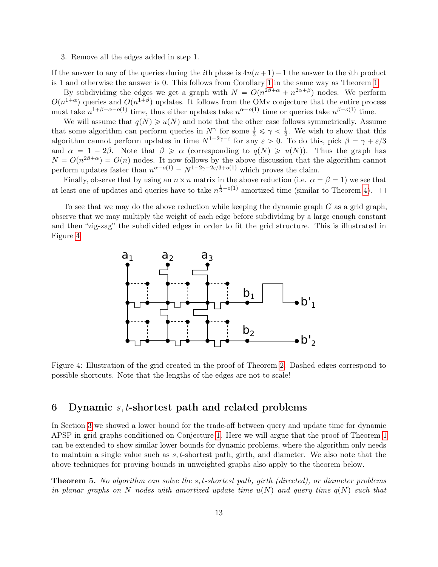3. Remove all the edges added in step 1.

If the answer to any of the queries during the *i*th phase is  $4n(n+1)-1$  the answer to the *i*th product is 1 and otherwise the answer is 0. This follows from Corollary [1](#page-7-1) in the same way as Theorem [1.](#page-2-1)

By subdividing the edges we get a graph with  $N = O(n^{2\beta + \alpha} + n^{2\alpha + \beta})$  nodes. We perform  $O(n^{1+\alpha})$  queries and  $O(n^{1+\beta})$  updates. It follows from the OMv conjecture that the entire process must take  $n^{1+\beta+\alpha-o(1)}$  time, thus either updates take  $n^{\alpha-o(1)}$  time or queries take  $n^{\beta-o(1)}$  time.

We will assume that  $q(N) \geq u(N)$  and note that the other case follows symmetrically. Assume that some algorithm can perform queries in  $N^{\gamma}$  for some  $\frac{1}{3} \leq \gamma < \frac{1}{2}$  $\frac{1}{2}$ . We wish to show that this algorithm cannot perform updates in time  $N^{1-2\gamma-\varepsilon}$  for any  $\varepsilon > 0$ . To do this, pick  $\beta = \gamma + \varepsilon/3$ and  $\alpha = 1 - 2\beta$ . Note that  $\beta \ge \alpha$  (corresponding to  $q(N) \ge u(N)$ ). Thus the graph has  $N = O(n^{2\beta + \alpha}) = O(n)$  nodes. It now follows by the above discussion that the algorithm cannot perform updates faster than  $n^{\alpha-o(1)} = N^{1-2\gamma-2\varepsilon/3+o(1)}$  which proves the claim.

Finally, observe that by using an  $n \times n$  matrix in the above reduction (i.e.  $\alpha = \beta = 1$ ) we see that at least one of updates and queries have to take  $n^{\frac{1}{3}-o(1)}$  amortized time (similar to Theorem [4\)](#page-7-2).

To see that we may do the above reduction while keeping the dynamic graph  $G$  as a grid graph, observe that we may multiply the weight of each edge before subdividing by a large enough constant and then "zig-zag" the subdivided edges in order to fit the grid structure. This is illustrated in Figure [4.](#page-13-0)



<span id="page-13-0"></span>Figure 4: Illustration of the grid created in the proof of Theorem [2.](#page-3-0) Dashed edges correspond to possible shortcuts. Note that the lengths of the edges are not to scale!

### 6 Dynamic  $s, t$ -shortest path and related problems

In Section [3](#page-7-4) we showed a lower bound for the trade-off between query and update time for dynamic APSP in grid graphs conditioned on Conjecture [1.](#page-2-0) Here we will argue that the proof of Theorem [1](#page-2-1) can be extended to show similar lower bounds for dynamic problems, where the algorithm only needs to maintain a single value such as s, t-shortest path, girth, and diameter. We also note that the above techniques for proving bounds in unweighted graphs also apply to the theorem below.

<span id="page-13-1"></span>Theorem 5. No algorithm can solve the s, t-shortest path, girth (directed), or diameter problems in planar graphs on N nodes with amortized update time  $u(N)$  and query time  $q(N)$  such that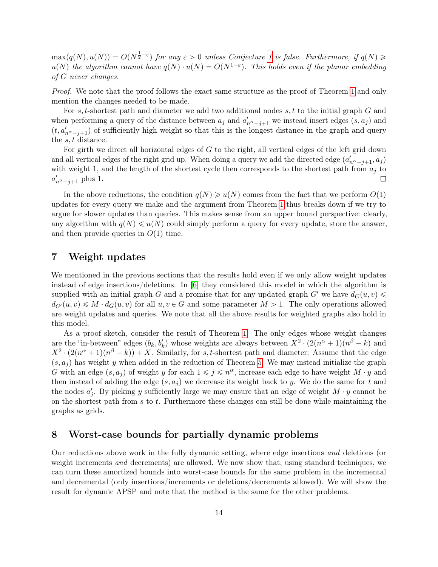$max(q(N), u(N)) = O(N^{\frac{1}{2}-\varepsilon})$  for any  $\varepsilon > 0$  unless Conjecture [1](#page-2-0) is false. Furthermore, if  $q(N) \geq$  $u(N)$  the algorithm cannot have  $q(N) \cdot u(N) = O(N^{1-\varepsilon})$ . This holds even if the planar embedding of G never changes.

Proof. We note that the proof follows the exact same structure as the proof of Theorem [1](#page-2-1) and only mention the changes needed to be made.

For s, t-shortest path and diameter we add two additional nodes s, t to the initial graph G and when performing a query of the distance between  $a_j$  and  $a'_{n^{\alpha}-j+1}$  we instead insert edges  $(s, a_j)$  and  $(t, a'_{n^{\alpha}-j+1})$  of sufficiently high weight so that this is the longest distance in the graph and query the s, t distance.

For girth we direct all horizontal edges of G to the right, all vertical edges of the left grid down and all vertical edges of the right grid up. When doing a query we add the directed edge  $(a'_{n^{\alpha}-j+1}, a_j)$ with weight 1, and the length of the shortest cycle then corresponds to the shortest path from  $a_i$  to  $a'_{n^{\alpha}-j+1}$  plus 1.  $\Box$ 

In the above reductions, the condition  $q(N) \geq u(N)$  comes from the fact that we perform  $O(1)$ updates for every query we make and the argument from Theorem [1](#page-2-1) thus breaks down if we try to argue for slower updates than queries. This makes sense from an upper bound perspective: clearly, any algorithm with  $q(N) \leq u(N)$  could simply perform a query for every update, store the answer, and then provide queries in  $O(1)$  time.

### 7 Weight updates

We mentioned in the previous sections that the results hold even if we only allow weight updates instead of edge insertions/deletions. In [\[6\]](#page-15-0) they considered this model in which the algorithm is supplied with an initial graph G and a promise that for any updated graph  $G'$  we have  $d_G(u, v)$  $d_{G}(u, v) \leq M \cdot d_G(u, v)$  for all  $u, v \in G$  and some parameter  $M > 1$ . The only operations allowed are weight updates and queries. We note that all the above results for weighted graphs also hold in this model.

As a proof sketch, consider the result of Theorem [1:](#page-2-1) The only edges whose weight changes are the "in-between" edges  $(b_k, b'_k)$  whose weights are always between  $X^2 \cdot (2(n^{\alpha}+1)(n^{\beta}-k))$  and  $X^2 \cdot (2(n^{\alpha}+1)(n^{\beta}-k)) + X$ . Similarly, for s, t-shortest path and diameter: Assume that the edge  $(s, a<sub>j</sub>)$  has weight y when added in the reduction of Theorem [5.](#page-13-1) We may instead initialize the graph G with an edge  $(s, a_j)$  of weight y for each  $1 \leq j \leq n^{\alpha}$ , increase each edge to have weight  $M \cdot y$  and then instead of adding the edge  $(s, a_i)$  we decrease its weight back to y. We do the same for t and the nodes  $a'_{j}$ . By picking y sufficiently large we may ensure that an edge of weight  $M \cdot y$  cannot be on the shortest path from  $s$  to  $t$ . Furthermore these changes can still be done while maintaining the graphs as grids.

### 8 Worst-case bounds for partially dynamic problems

Our reductions above work in the fully dynamic setting, where edge insertions and deletions (or weight increments and decrements) are allowed. We now show that, using standard techniques, we can turn these amortized bounds into worst-case bounds for the same problem in the incremental and decremental (only insertions/increments or deletions/decrements allowed). We will show the result for dynamic APSP and note that the method is the same for the other problems.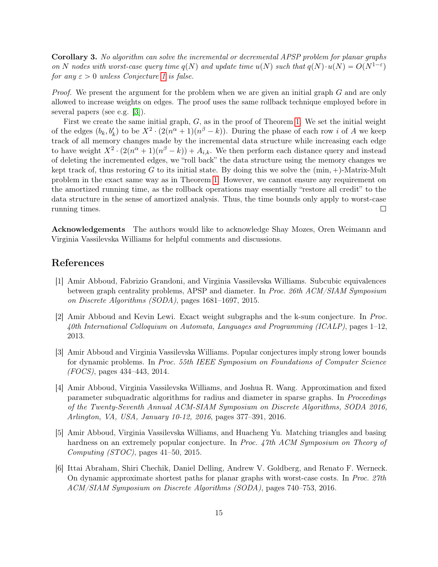Corollary 3. No algorithm can solve the incremental or decremental APSP problem for planar graphs on N nodes with worst-case query time  $q(N)$  and update time  $u(N)$  such that  $q(N) \cdot u(N) = O(N^{1-\epsilon})$ for any  $\varepsilon > 0$  unless Conjecture [1](#page-2-0) is false.

*Proof.* We present the argument for the problem when we are given an initial graph  $G$  and are only allowed to increase weights on edges. The proof uses the same rollback technique employed before in several papers (see e.g. [\[3\]](#page-15-1)).

First we create the same initial graph,  $G$ , as in the proof of Theorem [1.](#page-2-1) We set the initial weight of the edges  $(b_k, b'_k)$  to be  $X^2 \cdot (2(n^{\alpha}+1)(n^{\beta}-k))$ . During the phase of each row i of A we keep track of all memory changes made by the incremental data structure while increasing each edge to have weight  $X^2 \cdot (2(n^{\alpha}+1)(n^{\beta}-k)) + A_{i,k}$ . We then perform each distance query and instead of deleting the incremented edges, we "roll back" the data structure using the memory changes we kept track of, thus restoring G to its initial state. By doing this we solve the  $(\min, +)$ -Matrix-Mult problem in the exact same way as in Theorem [1.](#page-2-1) However, we cannot ensure any requirement on the amortized running time, as the rollback operations may essentially "restore all credit" to the data structure in the sense of amortized analysis. Thus, the time bounds only apply to worst-case running times.  $\Box$ 

Acknowledgements The authors would like to acknowledge Shay Mozes, Oren Weimann and Virginia Vassilevska Williams for helpful comments and discussions.

### References

- <span id="page-15-5"></span>[1] Amir Abboud, Fabrizio Grandoni, and Virginia Vassilevska Williams. Subcubic equivalences between graph centrality problems, APSP and diameter. In Proc. 26th ACM/SIAM Symposium on Discrete Algorithms (SODA), pages 1681–1697, 2015.
- <span id="page-15-4"></span>[2] Amir Abboud and Kevin Lewi. Exact weight subgraphs and the k-sum conjecture. In Proc. 40th International Colloquium on Automata, Languages and Programming (ICALP), pages 1–12, 2013.
- <span id="page-15-1"></span>[3] Amir Abboud and Virginia Vassilevska Williams. Popular conjectures imply strong lower bounds for dynamic problems. In Proc. 55th IEEE Symposium on Foundations of Computer Science (FOCS), pages 434–443, 2014.
- <span id="page-15-3"></span>[4] Amir Abboud, Virginia Vassilevska Williams, and Joshua R. Wang. Approximation and fixed parameter subquadratic algorithms for radius and diameter in sparse graphs. In *Proceedings* of the Twenty-Seventh Annual ACM-SIAM Symposium on Discrete Algorithms, SODA 2016, Arlington, VA, USA, January 10-12, 2016, pages 377–391, 2016.
- <span id="page-15-2"></span>[5] Amir Abboud, Virginia Vassilevska Williams, and Huacheng Yu. Matching triangles and basing hardness on an extremely popular conjecture. In Proc. 47th ACM Symposium on Theory of Computing (STOC), pages 41–50, 2015.
- <span id="page-15-0"></span>[6] Ittai Abraham, Shiri Chechik, Daniel Delling, Andrew V. Goldberg, and Renato F. Werneck. On dynamic approximate shortest paths for planar graphs with worst-case costs. In Proc. 27th ACM/SIAM Symposium on Discrete Algorithms (SODA), pages 740–753, 2016.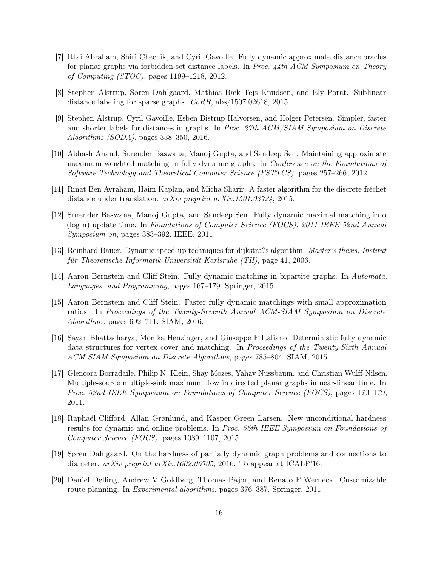- <span id="page-16-3"></span>[7] Ittai Abraham, Shiri Chechik, and Cyril Gavoille. Fully dynamic approximate distance oracles for planar graphs via forbidden-set distance labels. In Proc. 44th ACM Symposium on Theory of Computing (STOC), pages 1199–1218, 2012.
- <span id="page-16-13"></span>[8] Stephen Alstrup, Søren Dahlgaard, Mathias Bæk Tejs Knudsen, and Ely Porat. Sublinear distance labeling for sparse graphs. CoRR, abs/1507.02618, 2015.
- <span id="page-16-12"></span>[9] Stephen Alstrup, Cyril Gavoille, Esben Bistrup Halvorsen, and Holger Petersen. Simpler, faster and shorter labels for distances in graphs. In Proc. 27th ACM/SIAM Symposium on Discrete Algorithms (SODA), pages 338–350, 2016.
- <span id="page-16-11"></span>[10] Abhash Anand, Surender Baswana, Manoj Gupta, and Sandeep Sen. Maintaining approximate maximum weighted matching in fully dynamic graphs. In *Conference on the Foundations of* Software Technology and Theoretical Computer Science (FSTTCS), pages 257–266, 2012.
- <span id="page-16-6"></span>[11] Rinat Ben Avraham, Haim Kaplan, and Micha Sharir. A faster algorithm for the discrete fréchet distance under translation. *arXiv preprint arXiv:1501.03724*, 2015.
- <span id="page-16-7"></span>[12] Surender Baswana, Manoj Gupta, and Sandeep Sen. Fully dynamic maximal matching in o (log n) update time. In Foundations of Computer Science (FOCS), 2011 IEEE 52nd Annual Symposium on, pages 383–392. IEEE, 2011.
- <span id="page-16-1"></span>[13] Reinhard Bauer. Dynamic speed-up techniques for dijkstra?s algorithm. Master's thesis, Institut für Theoretische Informatik-Universität Karlsruhe (TH), page 41, 2006.
- <span id="page-16-8"></span>[14] Aaron Bernstein and Cliff Stein. Fully dynamic matching in bipartite graphs. In Automata, Languages, and Programming, pages 167–179. Springer, 2015.
- <span id="page-16-10"></span>[15] Aaron Bernstein and Cliff Stein. Faster fully dynamic matchings with small approximation ratios. In Proceedings of the Twenty-Seventh Annual ACM-SIAM Symposium on Discrete Algorithms, pages 692–711. SIAM, 2016.
- <span id="page-16-9"></span>[16] Sayan Bhattacharya, Monika Henzinger, and Giuseppe F Italiano. Deterministic fully dynamic data structures for vertex cover and matching. In Proceedings of the Twenty-Sixth Annual ACM-SIAM Symposium on Discrete Algorithms, pages 785–804. SIAM, 2015.
- <span id="page-16-0"></span>[17] Glencora Borradaile, Philip N. Klein, Shay Mozes, Yahav Nussbaum, and Christian Wulff-Nilsen. Multiple-source multiple-sink maximum flow in directed planar graphs in near-linear time. In Proc. 52nd IEEE Symposium on Foundations of Computer Science (FOCS), pages 170–179, 2011.
- <span id="page-16-4"></span>[18] Raphaël Clifford, Allan Grønlund, and Kasper Green Larsen. New unconditional hardness results for dynamic and online problems. In Proc. 56th IEEE Symposium on Foundations of Computer Science (FOCS), pages 1089–1107, 2015.
- <span id="page-16-5"></span>[19] Søren Dahlgaard. On the hardness of partially dynamic graph problems and connections to diameter.  $arXiv$  preprint  $arXiv:1602.06705$ , 2016. To appear at ICALP'16.
- <span id="page-16-2"></span>[20] Daniel Delling, Andrew V Goldberg, Thomas Pajor, and Renato F Werneck. Customizable route planning. In Experimental algorithms, pages 376–387. Springer, 2011.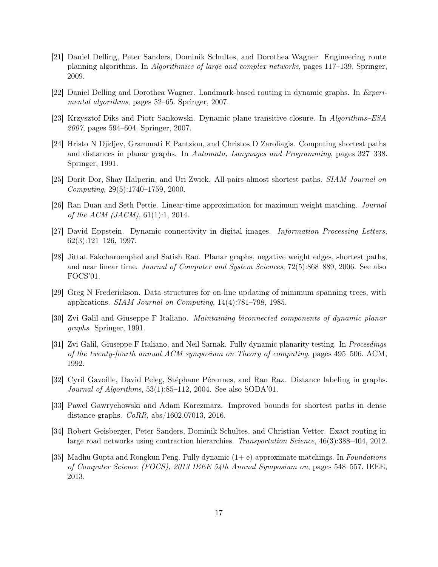- <span id="page-17-6"></span>[21] Daniel Delling, Peter Sanders, Dominik Schultes, and Dorothea Wagner. Engineering route planning algorithms. In Algorithmics of large and complex networks, pages 117–139. Springer, 2009.
- <span id="page-17-7"></span>[22] Daniel Delling and Dorothea Wagner. Landmark-based routing in dynamic graphs. In Experimental algorithms, pages 52–65. Springer, 2007.
- <span id="page-17-11"></span>[23] Krzysztof Diks and Piotr Sankowski. Dynamic plane transitive closure. In Algorithms–ESA 2007, pages 594–604. Springer, 2007.
- <span id="page-17-3"></span>[24] Hristo N Djidjev, Grammati E Pantziou, and Christos D Zaroliagis. Computing shortest paths and distances in planar graphs. In Automata, Languages and Programming, pages 327–338. Springer, 1991.
- <span id="page-17-12"></span>[25] Dorit Dor, Shay Halperin, and Uri Zwick. All-pairs almost shortest paths. SIAM Journal on Computing, 29(5):1740–1759, 2000.
- <span id="page-17-13"></span>[26] Ran Duan and Seth Pettie. Linear-time approximation for maximum weight matching. Journal of the ACM (JACM), 61(1):1, 2014.
- <span id="page-17-9"></span>[27] David Eppstein. Dynamic connectivity in digital images. Information Processing Letters, 62(3):121–126, 1997.
- <span id="page-17-0"></span>[28] Jittat Fakcharoenphol and Satish Rao. Planar graphs, negative weight edges, shortest paths, and near linear time. Journal of Computer and System Sciences, 72(5):868–889, 2006. See also FOCS'01.
- <span id="page-17-1"></span>[29] Greg N Frederickson. Data structures for on-line updating of minimum spanning trees, with applications. SIAM Journal on Computing, 14(4):781–798, 1985.
- <span id="page-17-2"></span>[30] Zvi Galil and Giuseppe F Italiano. Maintaining biconnected components of dynamic planar graphs. Springer, 1991.
- <span id="page-17-4"></span>[31] Zvi Galil, Giuseppe F Italiano, and Neil Sarnak. Fully dynamic planarity testing. In Proceedings of the twenty-fourth annual ACM symposium on Theory of computing, pages 495–506. ACM, 1992.
- <span id="page-17-10"></span>[32] Cyril Gavoille, David Peleg, Stéphane Pérennes, and Ran Raz. Distance labeling in graphs. Journal of Algorithms, 53(1):85–112, 2004. See also SODA'01.
- <span id="page-17-5"></span>[33] Pawel Gawrychowski and Adam Karczmarz. Improved bounds for shortest paths in dense distance graphs. CoRR, abs/1602.07013, 2016.
- <span id="page-17-8"></span>[34] Robert Geisberger, Peter Sanders, Dominik Schultes, and Christian Vetter. Exact routing in large road networks using contraction hierarchies. Transportation Science, 46(3):388–404, 2012.
- <span id="page-17-14"></span>[35] Madhu Gupta and Rongkun Peng. Fully dynamic  $(1+e)$ -approximate matchings. In Foundations of Computer Science (FOCS), 2013 IEEE 54th Annual Symposium on, pages 548–557. IEEE, 2013.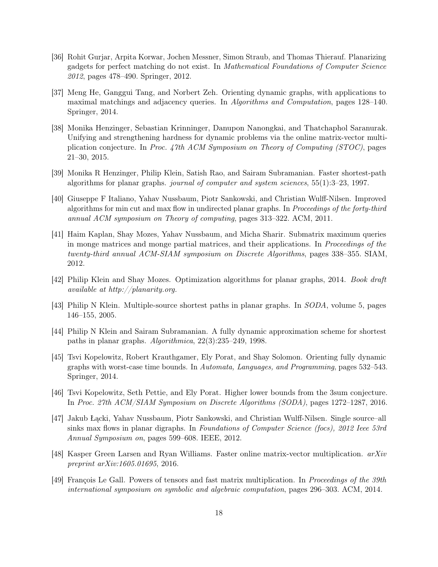- <span id="page-18-9"></span>[36] Rohit Gurjar, Arpita Korwar, Jochen Messner, Simon Straub, and Thomas Thierauf. Planarizing gadgets for perfect matching do not exist. In Mathematical Foundations of Computer Science 2012, pages 478–490. Springer, 2012.
- <span id="page-18-11"></span>[37] Meng He, Ganggui Tang, and Norbert Zeh. Orienting dynamic graphs, with applications to maximal matchings and adjacency queries. In Algorithms and Computation, pages 128–140. Springer, 2014.
- <span id="page-18-8"></span>[38] Monika Henzinger, Sebastian Krinninger, Danupon Nanongkai, and Thatchaphol Saranurak. Unifying and strengthening hardness for dynamic problems via the online matrix-vector multiplication conjecture. In Proc. 47th ACM Symposium on Theory of Computing (STOC), pages 21–30, 2015.
- <span id="page-18-1"></span>[39] Monika R Henzinger, Philip Klein, Satish Rao, and Sairam Subramanian. Faster shortest-path algorithms for planar graphs. journal of computer and system sciences,  $55(1):3-23$ , 1997.
- <span id="page-18-5"></span>[40] Giuseppe F Italiano, Yahav Nussbaum, Piotr Sankowski, and Christian Wulff-Nilsen. Improved algorithms for min cut and max flow in undirected planar graphs. In Proceedings of the forty-third annual ACM symposium on Theory of computing, pages 313–322. ACM, 2011.
- <span id="page-18-6"></span>[41] Haim Kaplan, Shay Mozes, Yahav Nussbaum, and Micha Sharir. Submatrix maximum queries in monge matrices and monge partial matrices, and their applications. In Proceedings of the twenty-third annual ACM-SIAM symposium on Discrete Algorithms, pages 338–355. SIAM, 2012.
- <span id="page-18-0"></span>[42] Philip Klein and Shay Mozes. Optimization algorithms for planar graphs, 2014. Book draft available at http://planarity.org.
- <span id="page-18-4"></span>[43] Philip N Klein. Multiple-source shortest paths in planar graphs. In SODA, volume 5, pages 146–155, 2005.
- <span id="page-18-2"></span>[44] Philip N Klein and Sairam Subramanian. A fully dynamic approximation scheme for shortest paths in planar graphs. Algorithmica, 22(3):235–249, 1998.
- <span id="page-18-12"></span>[45] Tsvi Kopelowitz, Robert Krauthgamer, Ely Porat, and Shay Solomon. Orienting fully dynamic graphs with worst-case time bounds. In Automata, Languages, and Programming, pages 532–543. Springer, 2014.
- <span id="page-18-7"></span>[46] Tsvi Kopelowitz, Seth Pettie, and Ely Porat. Higher lower bounds from the 3sum conjecture. In Proc. 27th ACM/SIAM Symposium on Discrete Algorithms (SODA), pages 1272–1287, 2016.
- <span id="page-18-3"></span>[47] Jakub Łącki, Yahav Nussbaum, Piotr Sankowski, and Christian Wulff-Nilsen. Single source–all sinks max flows in planar digraphs. In Foundations of Computer Science (focs), 2012 Ieee 53rd Annual Symposium on, pages 599–608. IEEE, 2012.
- <span id="page-18-13"></span>[48] Kasper Green Larsen and Ryan Williams. Faster online matrix-vector multiplication. arXiv preprint arXiv:1605.01695, 2016.
- <span id="page-18-10"></span>[49] François Le Gall. Powers of tensors and fast matrix multiplication. In Proceedings of the 39th international symposium on symbolic and algebraic computation, pages 296–303. ACM, 2014.